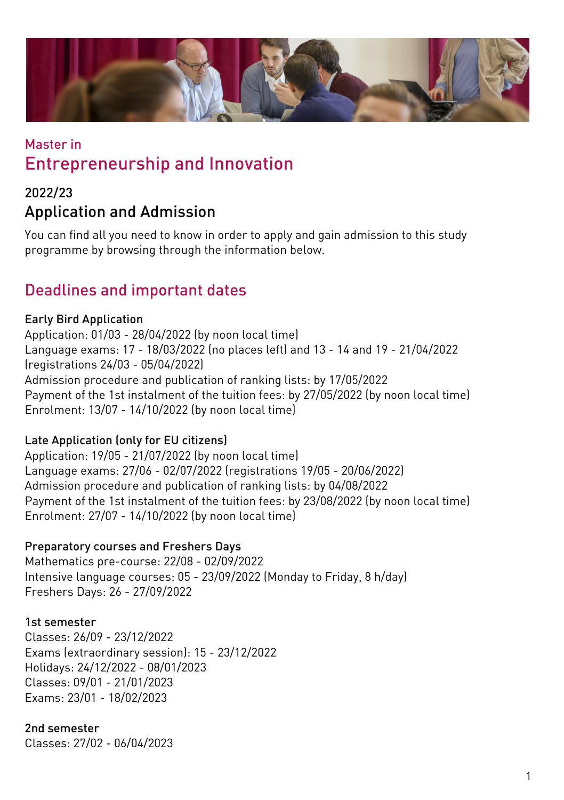

## Master in Entrepreneurship and Innovation

## 2022/23 Application and Admission

You can find all you need to know in order to apply and gain admission to this study programme by browsing through the information below.

## Deadlines and important dates

### Early Bird Application

Application: 01/03 - 28/04/2022 (by noon local time) Language exams: 17 - 18/03/2022 (no places left) and 13 - 14 and 19 - 21/04/2022 (registrations 24/03 - 05/04/2022) Admission procedure and publication of ranking lists: by 17/05/2022 Payment of the 1st instalment of the tuition fees: by 27/05/2022 (by noon local time) Enrolment: 13/07 - 14/10/2022 (by noon local time)

### Late Application (only for EU citizens)

Application: 19/05 - 21/07/2022 (by noon local time) Language exams: 27/06 - 02/07/2022 (registrations 19/05 - 20/06/2022) Admission procedure and publication of ranking lists: by 04/08/2022 Payment of the 1st instalment of the tuition fees: by 23/08/2022 (by noon local time) Enrolment: 27/07 - 14/10/2022 (by noon local time)

### Preparatory courses and Freshers Days

Mathematics pre-course: 22/08 - 02/09/2022 Intensive language courses: 05 - 23/09/2022 (Monday to Friday, 8 h/day) Freshers Days: 26 - 27/09/2022

### 1st semester

Classes: 26/09 - 23/12/2022 Exams (extraordinary session): 15 - 23/12/2022 Holidays: 24/12/2022 - 08/01/2023 Classes: 09/01 - 21/01/2023 Exams: 23/01 - 18/02/2023

### 2nd semester

Classes: 27/02 - 06/04/2023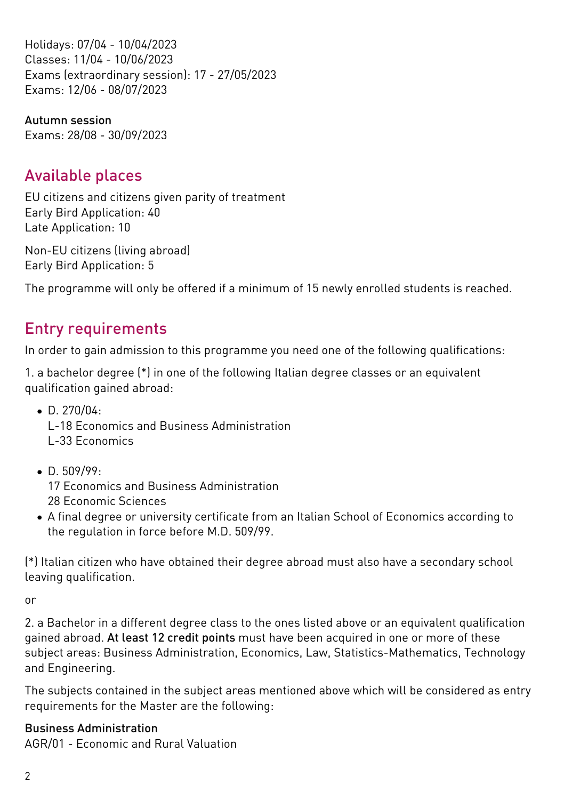Holidays: 07/04 - 10/04/2023 Classes: 11/04 - 10/06/2023 Exams (extraordinary session): 17 - 27/05/2023 Exams: 12/06 - 08/07/2023

Autumn session Exams: 28/08 - 30/09/2023

## Available places

EU citizens and citizens given parity of treatment Early Bird Application: 40 Late Application: 10

Non-EU citizens (living abroad) Early Bird Application: 5

The programme will only be offered if a minimum of 15 newly enrolled students is reached.

## Entry requirements

In order to gain admission to this programme you need one of the following qualifications:

1. a bachelor degree (\*) in one of the following Italian degree classes or an equivalent qualification gained abroad:

- $\bullet$  D. 270/04:
	- L-18 Economics and Business Administration
	- L-33 Economics
- D. 509/99: 17 Economics and Business Administration 28 Economic Sciences
- A final degree or university certificate from an Italian School of Economics according to the regulation in force before M.D. 509/99.

(\*) Italian citizen who have obtained their degree abroad must also have a secondary school leaving qualification.

or

2. a Bachelor in a different degree class to the ones listed above or an equivalent qualification gained abroad. At least 12 credit points must have been acquired in one or more of these subject areas: Business Administration, Economics, Law, Statistics-Mathematics, Technology and Engineering.

The subjects contained in the subject areas mentioned above which will be considered as entry requirements for the Master are the following:

### Business Administration

AGR/01 - Economic and Rural Valuation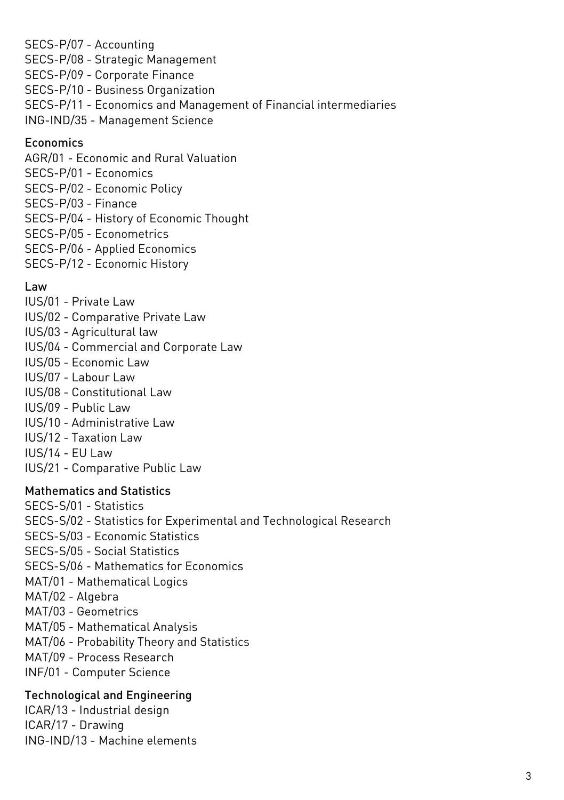SECS-P/07 - Accounting SECS-P/08 - Strategic Management SECS-P/09 - Corporate Finance SECS-P/10 - Business Organization SECS-P/11 - Economics and Management of Financial intermediaries ING-IND/35 - Management Science

### Economics

AGR/01 - Economic and Rural Valuation SECS-P/01 - Economics SECS-P/02 - Economic Policy SECS-P/03 - Finance SECS-P/04 - History of Economic Thought SECS-P/05 - Econometrics SECS-P/06 - Applied Economics

SECS-P/12 - Economic History

#### Law

- IUS/01 Private Law
- IUS/02 Comparative Private Law
- IUS/03 Agricultural law
- IUS/04 Commercial and Corporate Law
- IUS/05 Economic Law
- IUS/07 Labour Law
- IUS/08 Constitutional Law
- IUS/09 Public Law
- IUS/10 Administrative Law
- IUS/12 Taxation Law
- IUS/14 EU Law
- IUS/21 Comparative Public Law

#### Mathematics and Statistics

SECS-S/01 - Statistics SECS-S/02 - Statistics for Experimental and Technological Research SECS-S/03 - Economic Statistics SECS-S/05 - Social Statistics SECS-S/06 - Mathematics for Economics MAT/01 - Mathematical Logics MAT/02 - Algebra MAT/03 - Geometrics MAT/05 - Mathematical Analysis MAT/06 - Probability Theory and Statistics MAT/09 - Process Research INF/01 - Computer Science Technological and Engineering

ICAR/13 - Industrial design ICAR/17 - Drawing ING-IND/13 - Machine elements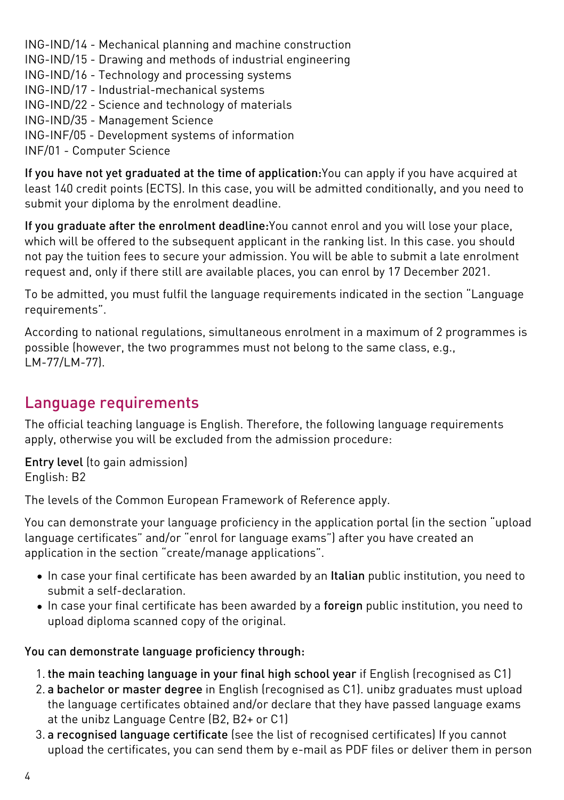ING-IND/14 - Mechanical planning and machine construction

ING-IND/15 - Drawing and methods of industrial engineering

ING-IND/16 - Technology and processing systems

ING-IND/17 - Industrial-mechanical systems

ING-IND/22 - Science and technology of materials

ING-IND/35 - Management Science

ING-INF/05 - Development systems of information

INF/01 - Computer Science

If you have not yet graduated at the time of application:You can apply if you have acquired at least 140 credit points (ECTS). In this case, you will be admitted conditionally, and you need to submit your diploma by the enrolment deadline.

If you graduate after the enrolment deadline:You cannot enrol and you will lose your place, which will be offered to the subsequent applicant in the ranking list. In this case. you should not pay the tuition fees to secure your admission. You will be able to submit a late enrolment request and, only if there still are available places, you can enrol by 17 December 2021.

To be admitted, you must fulfil the language requirements indicated in the section "Language requirements".

According to national regulations, simultaneous enrolment in a maximum of 2 programmes is possible (however, the two programmes must not belong to the same class, e.g., LM-77/LM-77).

## Language requirements

The official teaching language is English. Therefore, the following language requirements apply, otherwise you will be excluded from the admission procedure:

Entry level (to gain admission) English: B2

The levels of the Common European Framework of Reference apply.

You can demonstrate your language proficiency in the application portal (in the section "upload language certificates" and/or "enrol for language exams") after you have created an application in the section "create/manage applications".

- In case your final certificate has been awarded by an Italian public institution, you need to submit a self-declaration.
- In case your final certificate has been awarded by a foreign public institution, you need to upload diploma scanned copy of the original.

You can demonstrate language proficiency through:

- 1. the main teaching language in your final high school year if English (recognised as C1)
- 2. a bachelor or master degree in English (recognised as C1). unibz graduates must upload the language certificates obtained and/or declare that they have passed language exams at the unibz Language Centre (B2, B2+ or C1)
- 3. a recognised language certificate (see the list of [recognised certificates\)](https://www.unibz.it/en/services/language-centre/study-in-three-languages/) If you cannot upload the certificates, you can send them by e-mail as PDF files or deliver them in person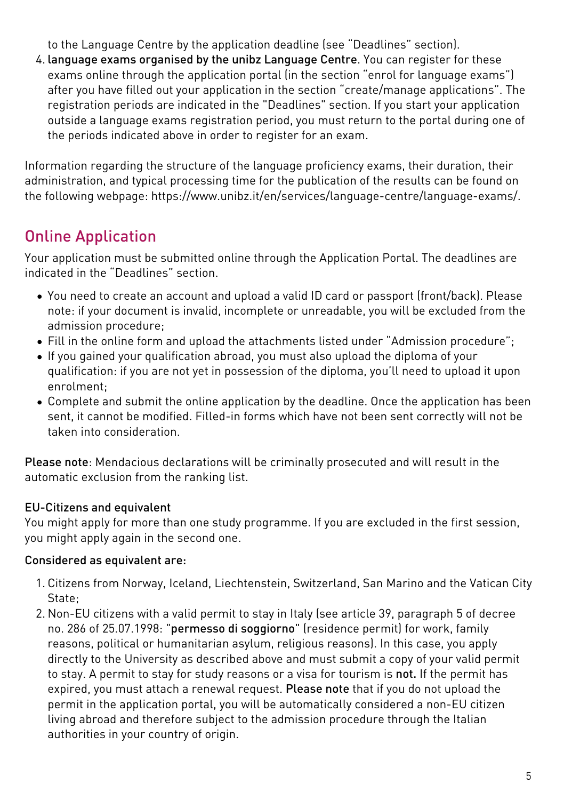to the Language Centre by the application deadline (see "Deadlines" section).

4. language exams organised by the unibz Language Centre. You can register for these exams online through the application portal (in the section "enrol for language exams") after you have filled out your application in the section "create/manage applications". The registration periods are indicated in the "Deadlines" section. If you start your application outside a language exams registration period, you must return to the portal during one of the periods indicated above in order to register for an exam.

Information regarding the structure of the language proficiency exams, their duration, their administration, and typical processing time for the publication of the results can be found on the following webpage: [https://www.unibz.it/en/services/language-centre/language-exams/](https://www.unibz.it/it/services/language-centre/language-exams/).

# Online Application

Your application must be submitted online through the [Application Portal](https://aws.unibz.it/exup). The deadlines are indicated in the "Deadlines" section.

- You need to create an account and upload a valid ID card or passport (front/back). Please note: if your document is invalid, incomplete or unreadable, you will be excluded from the admission procedure;
- Fill in the online form and upload the attachments listed under "Admission procedure";
- If you gained your qualification abroad, you must also upload the diploma of your qualification: if you are not yet in possession of the diploma, you'll need to upload it upon enrolment;
- Complete and submit the online application by the deadline. Once the application has been sent, it cannot be modified. Filled-in forms which have not been sent correctly will not be taken into consideration.

Please note: Mendacious declarations will be criminally prosecuted and will result in the automatic exclusion from the ranking list.

### EU-Citizens and equivalent

You might apply for more than one study programme. If you are excluded in the first session, you might apply again in the second one.

### Considered as equivalent are:

- 1. Citizens from Norway, Iceland, Liechtenstein, Switzerland, San Marino and the Vatican City State;
- 2. Non-EU citizens with a valid permit to stay in Italy (see article 39, paragraph 5 of decree no. 286 of 25.07.1998: "permesso di soggiorno" (residence permit) for work, family reasons, political or humanitarian asylum, religious reasons). In this case, you apply directly to the University as described above and must submit a copy of your valid permit to stay. A permit to stay for study reasons or a visa for tourism is not. If the permit has expired, you must attach a renewal request. Please note that if you do not upload the permit in the application portal, you will be automatically considered a non-EU citizen living abroad and therefore subject to the admission procedure through the Italian authorities in your country of origin.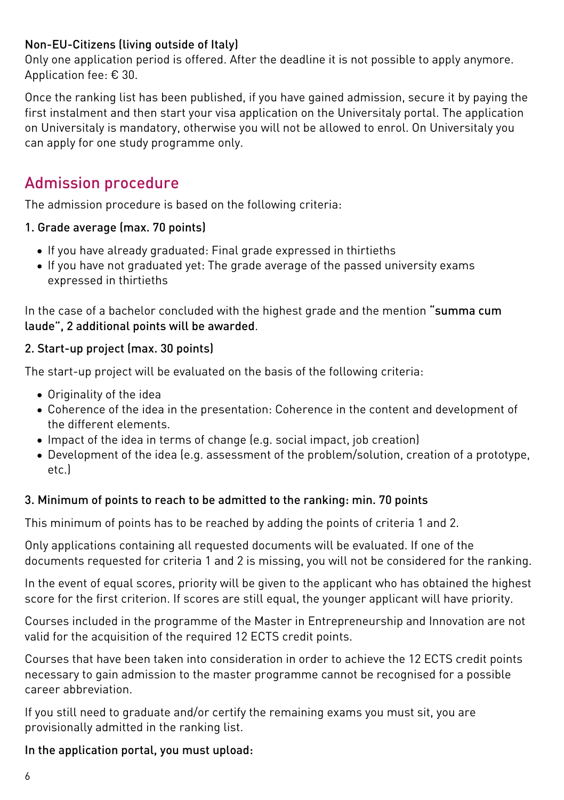### Non-EU-Citizens (living outside of Italy)

Only one application period is offered. After the deadline it is not possible to apply anymore. Application fee: € 30.

Once the ranking list has been published, if you have gained admission, secure it by paying the first instalment and then start your visa application on the [Universitaly portal.](https://www.universitaly.it/index.php/) The application on Universitaly is mandatory, otherwise you will not be allowed to enrol. On Universitaly you can apply for one study programme only.

## Admission procedure

The admission procedure is based on the following criteria:

### 1. Grade average (max. 70 points)

- If you have already graduated: Final grade expressed in thirtieths
- If you have not graduated yet: The grade average of the passed university exams expressed in thirtieths

In the case of a bachelor concluded with the highest grade and the mention "summa cum laude", 2 additional points will be awarded.

### 2. Start-up project (max. 30 points)

The start-up project will be evaluated on the basis of the following criteria:

- Originality of the idea
- Coherence of the idea in the presentation: Coherence in the content and development of the different elements.
- Impact of the idea in terms of change (e.g. social impact, job creation)
- Development of the idea (e.g. assessment of the problem/solution, creation of a prototype, etc.)

### 3. Minimum of points to reach to be admitted to the ranking: min. 70 points

This minimum of points has to be reached by adding the points of criteria 1 and 2.

Only applications containing all requested documents will be evaluated. If one of the documents requested for criteria 1 and 2 is missing, you will not be considered for the ranking.

In the event of equal scores, priority will be given to the applicant who has obtained the highest score for the first criterion. If scores are still equal, the younger applicant will have priority.

Courses included in the programme of the Master in Entrepreneurship and Innovation are not valid for the acquisition of the required 12 ECTS credit points.

Courses that have been taken into consideration in order to achieve the 12 ECTS credit points necessary to gain admission to the master programme cannot be recognised for a possible career abbreviation.

If you still need to graduate and/or certify the remaining exams you must sit, you are provisionally admitted in the ranking list.

### In the application portal, you must upload: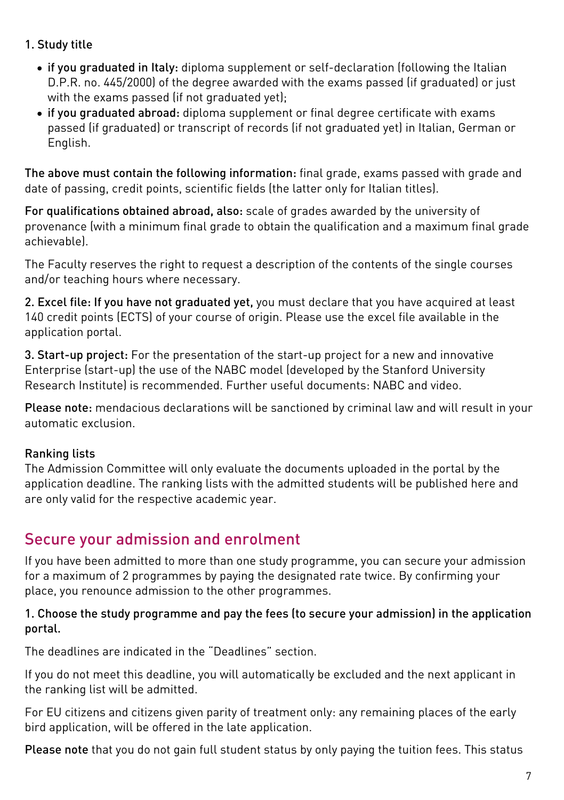- 1. Study title
	- if you graduated in Italy: diploma supplement or self-declaration (following the Italian D.P.R. no. 445/2000) of the degree awarded with the exams passed (if graduated) or just with the exams passed (if not graduated yet):
	- if you graduated abroad: diploma supplement or final degree certificate with exams passed (if graduated) or transcript of records (if not graduated yet) in Italian, German or English.

The above must contain the following information: final grade, exams passed with grade and date of passing, credit points, scientific fields (the latter only for Italian titles).

For qualifications obtained abroad, also: scale of grades awarded by the university of provenance (with a minimum final grade to obtain the qualification and a maximum final grade achievable).

The Faculty reserves the right to request a description of the contents of the single courses and/or teaching hours where necessary.

2. Excel file: If you have not graduated yet, you must declare that you have acquired at least 140 credit points (ECTS) of your course of origin. Please use the excel file available in the application portal.

3. Start-up project: For the presentation of the start-up project for a new and innovative Enterprise (start-up) the use of the NABC model (developed by the Stanford University Research Institute) is recommended. Further useful documents: [NABC](https://www.unibz.it/assets/Documents/Applicants/unibz-econ-nabc-entrepreneurship.pdf) and [video](https://www.youtube.com/watch?v=iHiLAJGDGt4).

Please note: mendacious declarations will be sanctioned by criminal law and will result in your automatic exclusion.

### Ranking lists

The Admission Committee will only evaluate the documents uploaded in the portal by the application deadline. The ranking lists with the admitted students will be published [here](https://www.unibz.it/en/applicants/ranking-lists/?stage=Stage) and are only valid for the respective academic year.

## Secure your admission and enrolment

If you have been admitted to more than one study programme, you can secure your admission for a maximum of 2 programmes by paying the designated rate twice. By confirming your place, you renounce admission to the other programmes.

#### 1. Choose the study programme and pay the fees (to secure your admission) in the application portal.

The deadlines are indicated in the "Deadlines" section.

If you do not meet this deadline, you will automatically be excluded and the next applicant in the ranking list will be admitted.

For EU citizens and citizens given parity of treatment only: any remaining places of the early bird application, will be offered in the late application.

Please note that you do not gain full student status by only paying the tuition fees. This status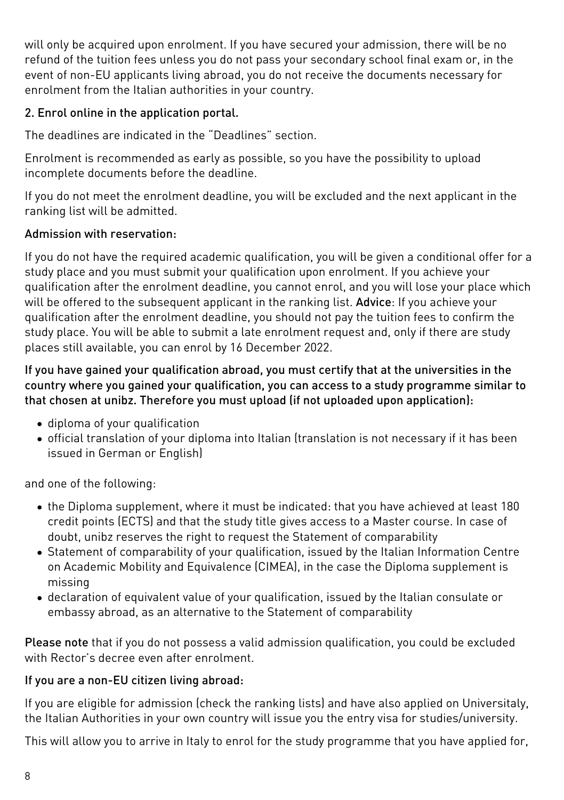will only be acquired upon enrolment. If you have secured your admission, there will be no refund of the tuition fees unless you do not pass your secondary school final exam or, in the event of non-EU applicants living abroad, you do not receive the documents necessary for enrolment from the Italian authorities in your country.

### 2. Enrol online in the application portal.

The deadlines are indicated in the "Deadlines" section.

Enrolment is recommended as early as possible, so you have the possibility to upload incomplete documents before the deadline.

If you do not meet the enrolment deadline, you will be excluded and the next applicant in the ranking list will be admitted.

### Admission with reservation:

If you do not have the required academic qualification, you will be given a conditional offer for a study place and you must submit your qualification upon enrolment. If you achieve your qualification after the enrolment deadline, you cannot enrol, and you will lose your place which will be offered to the subsequent applicant in the ranking list. Advice: If you achieve your qualification after the enrolment deadline, you should not pay the tuition fees to confirm the study place. You will be able to submit a late enrolment request and, only if there are study places still available, you can enrol by 16 December 2022.

#### If you have gained your qualification abroad, you must certify that at the universities in the country where you gained your qualification, you can access to a study programme similar to that chosen at unibz. Therefore you must upload (if not uploaded upon application):

- diploma of your qualification
- official translation of your diploma into Italian (translation is not necessary if it has been issued in German or English)

and one of the following:

- the Diploma supplement, where it must be indicated: that you have achieved at least 180 credit points (ECTS) and that the study title gives access to a Master course. In case of doubt, unibz reserves the right to request the Statement of comparability
- [Statement of comparability](https://www.cimea.it/EN/pagina-attestati-di-comparabilita-e-verifica-dei-titoli) of your qualification, issued by the Italian Information Centre on Academic Mobility and Equivalence (CIMEA), in the case the Diploma supplement is missing
- declaration of equivalent value of your qualification, issued by the Italian consulate or embassy abroad, as an alternative to the Statement of comparability

Please note that if you do not possess a valid admission qualification, you could be excluded with Rector's decree even after enrolment

### If you are a non-EU citizen living abroad:

If you are eligible for admission (check the ranking lists) and have also applied on [Universitaly](https://www.universitaly.it/index.php/), the Italian Authorities in your own country will issue you the entry visa for studies/university.

This will allow you to arrive in Italy to enrol for the study programme that you have applied for,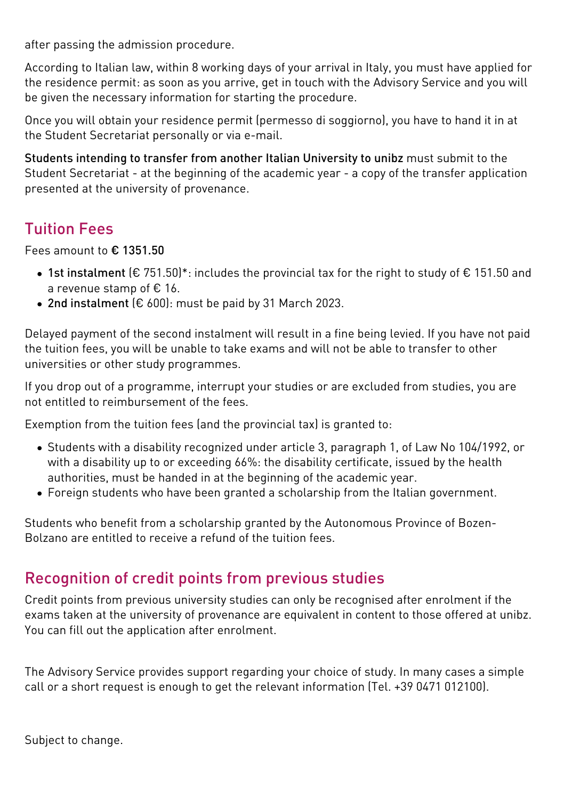after passing the admission procedure.

According to Italian law, within 8 working days of your arrival in Italy, you must have applied for the residence permit: as soon as you arrive, get in touch with the Advisory Service and you will be given the necessary information for starting the procedure.

Once you will obtain your residence permit (permesso di soggiorno), you have to hand it in at the Student Secretariat personally or via e-mail.

Students intending to transfer from another Italian University to unibz must submit to the Student Secretariat - at the beginning of the academic year - a copy of the transfer application presented at the university of provenance.

# Tuition Fees

Fees amount to € 1351.50

- 1st instalment (€ 751.50)\*: includes the provincial tax for the right to study of € 151.50 and a revenue stamp of € 16.
- 2nd instalment  $[€ 600]$ : must be paid by 31 March 2023.

Delayed payment of the second instalment will result in a fine being levied. If you have not paid the tuition fees, you will be unable to take exams and will not be able to transfer to other universities or other study programmes.

If you drop out of a programme, interrupt your studies or are excluded from studies, you are not entitled to reimbursement of the fees.

Exemption from the tuition fees (and the provincial tax) is granted to:

- Students with a disability recognized under article 3, paragraph 1, of Law No 104/1992, or with a disability up to or exceeding 66%: the disability certificate, issued by the health authorities, must be handed in at the beginning of the academic year.
- Foreign students who have been granted a scholarship from the Italian government.

Students who benefit from a scholarship granted by the Autonomous Province of Bozen-Bolzano are entitled to receive a refund of the tuition fees.

## Recognition of credit points from previous studies

Credit points from previous university studies can only be recognised after enrolment if the exams taken at the university of provenance are equivalent in content to those offered at unibz. You can fill out the application after enrolment.

The Advisory Service provides support regarding your choice of study. In many cases a simple call or a [short request](http://short.unibz.it/inforequest/en) is enough to get the relevant information (Tel. +39 0471 012100).

Subject to change.